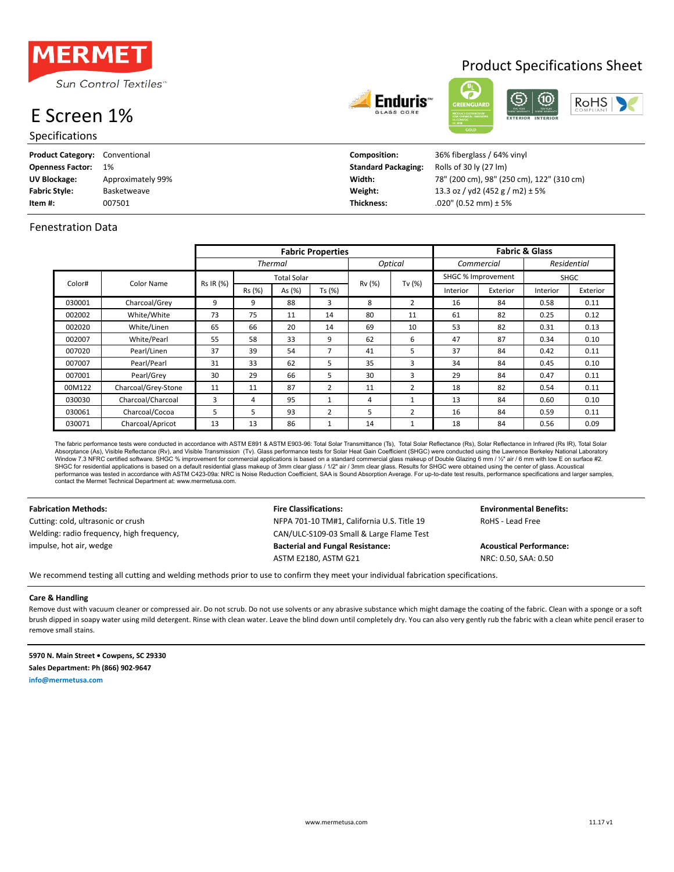

## E Screen 1%

Specifications

| <b>Product Category:</b> | Conventional      | Composition:               | 36% fiberglass / 64% vinyl                |
|--------------------------|-------------------|----------------------------|-------------------------------------------|
| <b>Openness Factor:</b>  | 1%                | <b>Standard Packaging:</b> | Rolls of 30 ly (27 lm)                    |
| UV Blockage:             | Approximately 99% | Width:                     | 78" (200 cm), 98" (250 cm), 122" (310 cm) |
| <b>Fabric Style:</b>     | Basketweave       | Weight:                    | 13.3 oz / yd2 (452 g / m2) $\pm$ 5%       |
| Item #:                  | 007501            | Thickness:                 | $.020$ " (0.52 mm) ± 5%                   |

Enduris:

### Fenestration Data

|                      |                     |                | <b>Fabric Properties</b> |        |                |         |                |                    |             | <b>Fabric &amp; Glass</b> |          |
|----------------------|---------------------|----------------|--------------------------|--------|----------------|---------|----------------|--------------------|-------------|---------------------------|----------|
|                      |                     | <b>Thermal</b> |                          |        |                | Optical | Commercial     |                    | Residential |                           |          |
| Color#<br>Color Name |                     |                | <b>Total Solar</b>       |        |                | Rv (%)  |                | SHGC % Improvement |             | <b>SHGC</b>               |          |
|                      |                     | Rs IR (%)      | Rs (%)                   | As (%) | Ts (%)         |         | Tv (%)         | Interior           | Exterior    | Interior                  | Exterior |
| 030001               | Charcoal/Grey       | 9              | 9                        | 88     | 3              | 8       | $\overline{2}$ | 16                 | 84          | 0.58                      | 0.11     |
| 002002               | White/White         | 73             | 75                       | 11     | 14             | 80      | 11             | 61                 | 82          | 0.25                      | 0.12     |
| 002020               | White/Linen         | 65             | 66                       | 20     | 14             | 69      | 10             | 53                 | 82          | 0.31                      | 0.13     |
| 002007               | White/Pearl         | 55             | 58                       | 33     | 9              | 62      | 6              | 47                 | 87          | 0.34                      | 0.10     |
| 007020               | Pearl/Linen         | 37             | 39                       | 54     | 7              | 41      | 5              | 37                 | 84          | 0.42                      | 0.11     |
| 007007               | Pearl/Pearl         | 31             | 33                       | 62     | 5              | 35      | 3              | 34                 | 84          | 0.45                      | 0.10     |
| 007001               | Pearl/Grey          | 30             | 29                       | 66     | 5              | 30      | 3              | 29                 | 84          | 0.47                      | 0.11     |
| 00M122               | Charcoal/Grey-Stone | 11             | 11                       | 87     | $\overline{2}$ | 11      | 2              | 18                 | 82          | 0.54                      | 0.11     |
| 030030               | Charcoal/Charcoal   | 3              | 4                        | 95     |                | 4       |                | 13                 | 84          | 0.60                      | 0.10     |
| 030061               | Charcoal/Cocoa      | 5              | 5.                       | 93     | $\overline{2}$ | 5       | 2              | 16                 | 84          | 0.59                      | 0.11     |
| 030071               | Charcoal/Apricot    | 13             | 13                       | 86     |                | 14      |                | 18                 | 84          | 0.56                      | 0.09     |

The fabric performance tests were conducted in accordance with ASTM E891 & ASTM E903-96: Total Solar Transmittance (Ts), Total Solar Reflectance (Rs), Solar Reflectance in Infrared (Rs IR), Total Solar<br>Absorptance (As), Vi Window 7.3 NFRC certified software. SHGC % improvement for commercial applications is based on a standard commercial glass makeup of Double Glazing 6 mm / ½" air / 6 mm with low E on surface #2. SHGC for residential applications is based on a default residential glass makeup of 3mm clear glass / //2" air / 3mm clear glass. Results for SHGC were obtained using the center of glass. Acoustical<br>performance was tested contact the Mermet Technical Department at: www.mermetusa.com.

Welding: radio frequency, high frequency, impulse, hot air, wedge

**Fabrication Methods: Fire Classifications: Fire Classifications: Fig. 2.1 Environmental Benefits:** Cutting: cold, ultrasonic or crush NEPA 701-10 TM#1, California U.S. Title 19 RoHS - Lead Free CAN/ULC-S109-03 Small & Large Flame Test Bacterial and Fungal Resistance: **Acoustical Performance: Acoustical Performance:** ASTM E2180, ASTM G21 NRC: 0.50, SAA: 0.50

We recommend testing all cutting and welding methods prior to use to confirm they meet your individual fabrication specifications.

### **Care & Handling**

Remove dust with vacuum cleaner or compressed air. Do not scrub. Do not use solvents or any abrasive substance which might damage the coating of the fabric. Clean with a sponge or a soft brush dipped in soapy water using mild detergent. Rinse with clean water. Leave the blind down until completely dry. You can also very gently rub the fabric with a clean white pencil eraser to remove small stains.

**5970 N. Main Street • Cowpens, SC 29330 Sales Department: Ph (866) 902-9647 info@mermetusa.com**

RoHS

## **Product Specifications Sheet**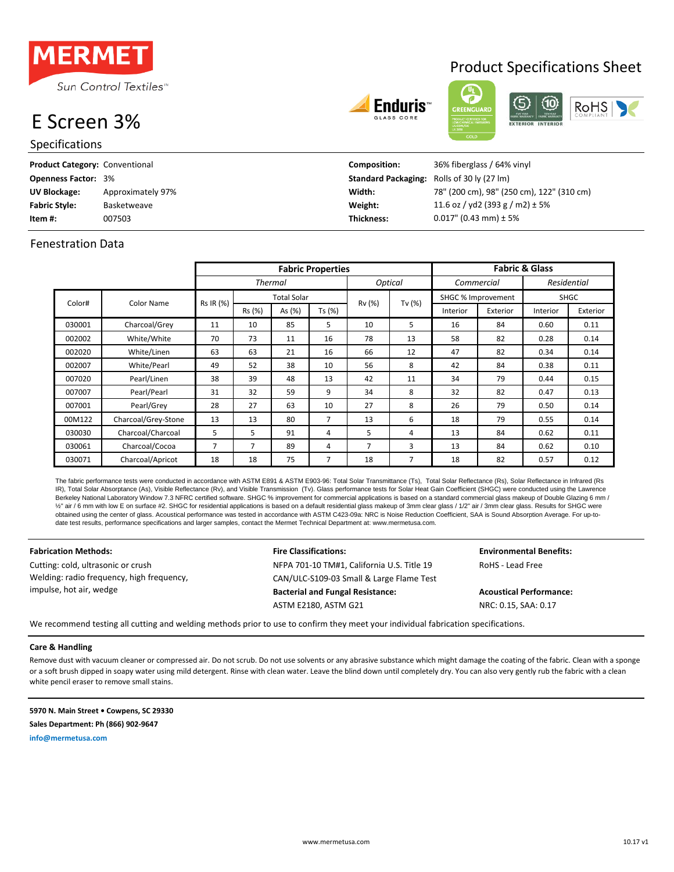

# E Screen 3%

| <b>Specifications</b>          |                   |                                                   | ູບບເມ                                     |
|--------------------------------|-------------------|---------------------------------------------------|-------------------------------------------|
| Product Category: Conventional |                   | Composition:                                      | 36% fiberglass / 64% vinyl                |
| <b>Openness Factor: 3%</b>     |                   | <b>Standard Packaging:</b> Rolls of 30 ly (27 lm) |                                           |
| <b>UV Blockage:</b>            | Approximately 97% | Width:                                            | 78" (200 cm), 98" (250 cm), 122" (310 cm) |
| <b>Fabric Style:</b>           | Basketweave       | Weight:                                           | 11.6 oz / yd2 (393 g / m2) $\pm$ 5%       |
| ltem #:                        | 007503            | Thickness:                                        | $0.017$ " (0.43 mm) ± 5%                  |

### Fenestration Data

|        |                     |           | <b>Fabric Properties</b> |                |        |        |                | <b>Fabric &amp; Glass</b> |            |             |             |  |
|--------|---------------------|-----------|--------------------------|----------------|--------|--------|----------------|---------------------------|------------|-------------|-------------|--|
|        |                     |           |                          | <b>Thermal</b> |        |        | <b>Optical</b> |                           | Commercial |             | Residential |  |
| Color# | Color Name          | Rs IR (%) | <b>Total Solar</b>       |                |        | Rv (%) | Tv $(%)$       | SHGC % Improvement        |            | <b>SHGC</b> |             |  |
|        |                     |           | Rs (%)                   | As (%)         | Ts (%) |        |                | Interior                  | Exterior   | Interior    | Exterior    |  |
| 030001 | Charcoal/Grey       | 11        | 10                       | 85             | 5      | 10     | 5              | 16                        | 84         | 0.60        | 0.11        |  |
| 002002 | White/White         | 70        | 73                       | 11             | 16     | 78     | 13             | 58                        | 82         | 0.28        | 0.14        |  |
| 002020 | White/Linen         | 63        | 63                       | 21             | 16     | 66     | 12             | 47                        | 82         | 0.34        | 0.14        |  |
| 002007 | White/Pearl         | 49        | 52                       | 38             | 10     | 56     | 8              | 42                        | 84         | 0.38        | 0.11        |  |
| 007020 | Pearl/Linen         | 38        | 39                       | 48             | 13     | 42     | 11             | 34                        | 79         | 0.44        | 0.15        |  |
| 007007 | Pearl/Pearl         | 31        | 32                       | 59             | 9      | 34     | 8              | 32                        | 82         | 0.47        | 0.13        |  |
| 007001 | Pearl/Grey          | 28        | 27                       | 63             | 10     | 27     | 8              | 26                        | 79         | 0.50        | 0.14        |  |
| 00M122 | Charcoal/Grey-Stone | 13        | 13                       | 80             | 7      | 13     | 6              | 18                        | 79         | 0.55        | 0.14        |  |
| 030030 | Charcoal/Charcoal   | 5         | 5                        | 91             | 4      | 5.     | 4              | 13                        | 84         | 0.62        | 0.11        |  |
| 030061 | Charcoal/Cocoa      | 7         | $\overline{7}$           | 89             | 4      | 7      | 3              | 13                        | 84         | 0.62        | 0.10        |  |
| 030071 | Charcoal/Apricot    | 18        | 18                       | 75             | 7      | 18     | $\overline{7}$ | 18                        | 82         | 0.57        | 0.12        |  |

The fabric performance tests were conducted in accordance with ASTM E891 & ASTM E903-96: Total Solar Transmittance (Ts), Total Solar Reflectance (Rs), Solar Reflectance in Infrared (Rs IR), Total Solar Absorptance (As), Visible Reflectance (Rv), and Visible Transmission (Tv). Glass performance tests for Solar Heat Gain Coefficient (SHGC) were conducted using the Lawrence Berkeley National Laboratory Window 7.3 NFRC certified software. SHGC % improvement for commercial applications is based on a standard commercial glass makeup of Double Glazing 6 mm / ½" air / 6 mm with low E on surface #2. SHGC for residential applications is based on a default residential glass makeup of 3mm clear glass / 1/2" air / 3mm clear glass. Results for SHGC were obtained using the center of glass. Acoustical performance was tested in accordance with ASTM C423-09a: NRC is Noise Reduction Coefficient, SAA is Sound Absorption Average. For up-todate test results, performance specifications and larger samples, contact the Mermet Technical Department at: www.mermetusa.com.

**Fabrication Methods: Fire Classifications: Environmental Benefits:** Cutting: cold, ultrasonic or crush  $NFPA 701-10 TM#1$ , California U.S. Title 19 RoHS - Lead Free Welding: radio frequency, high frequency, impulse, hot air, wedge

CAN/ULC-S109-03 Small & Large Flame Test **Bacterial and Fungal Resistance: Acoustical Performance:** ASTM E2180, ASTM G21 NRC: 0.15, SAA: 0.17

We recommend testing all cutting and welding methods prior to use to confirm they meet your individual fabrication specifications.

### **Care & Handling**

Remove dust with vacuum cleaner or compressed air. Do not scrub. Do not use solvents or any abrasive substance which might damage the coating of the fabric. Clean with a sponge or a soft brush dipped in soapy water using mild detergent. Rinse with clean water. Leave the blind down until completely dry. You can also very gently rub the fabric with a clean white pencil eraser to remove small stains.

**5970 N. Main Street • Cowpens, SC 29330 Sales Department: Ph (866) 902-9647 info@mermetusa.com**

Fnduris<sup>.</sup>

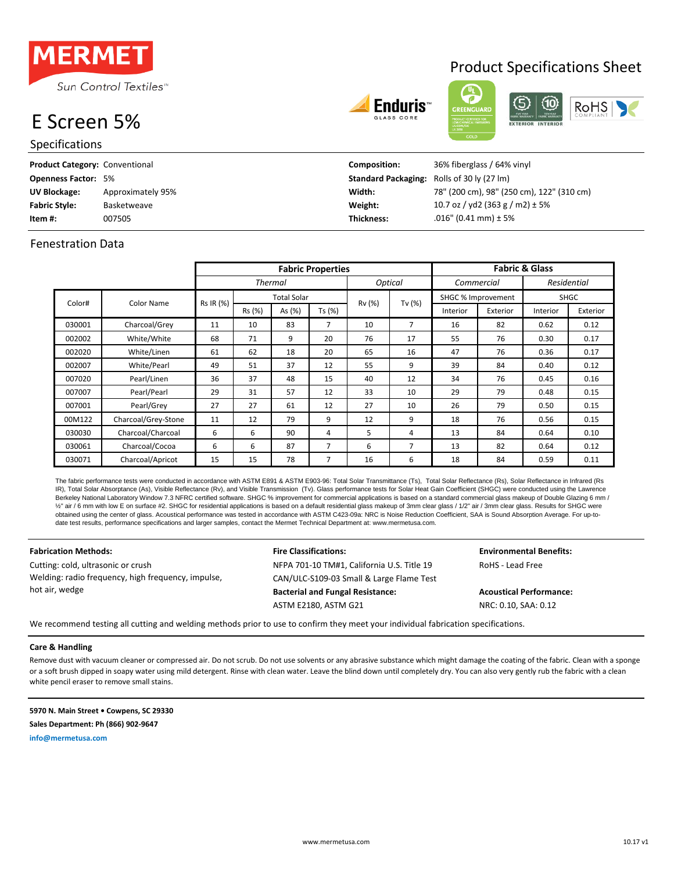

# E Screen 5%

| --------                              |                   |                                                   | 01.2818                                   |
|---------------------------------------|-------------------|---------------------------------------------------|-------------------------------------------|
| <b>Specifications</b>                 |                   |                                                   | <b>GOLD</b>                               |
| <b>Product Category: Conventional</b> |                   | Composition:                                      | 36% fiberglass / 64% vinyl                |
| <b>Openness Factor: 5%</b>            |                   | <b>Standard Packaging:</b> Rolls of 30 ly (27 lm) |                                           |
| <b>UV Blockage:</b>                   | Approximately 95% | Width:                                            | 78" (200 cm), 98" (250 cm), 122" (310 cm) |
| <b>Fabric Style:</b>                  | Basketweave       | Weight:                                           | 10.7 oz / yd2 (363 g / m2) $\pm$ 5%       |

### Fenestration Data

007505

|        |                     |           | <b>Fabric Properties</b> |        |                |        |         |                    | <b>Fabric &amp; Glass</b> |             |          |  |  |
|--------|---------------------|-----------|--------------------------|--------|----------------|--------|---------|--------------------|---------------------------|-------------|----------|--|--|
|        |                     |           | <b>Thermal</b>           |        |                |        | Optical | Commercial         |                           | Residential |          |  |  |
| Color# | Color Name          | Rs IR (%) | <b>Total Solar</b>       |        |                | Rv (%) | Tv (%)  | SHGC % Improvement |                           | <b>SHGC</b> |          |  |  |
|        |                     |           | Rs (%)                   | As (%) | Ts (%)         |        |         | Interior           | Exterior                  | Interior    | Exterior |  |  |
| 030001 | Charcoal/Grey       | 11        | 10                       | 83     | 7              | 10     | 7       | 16                 | 82                        | 0.62        | 0.12     |  |  |
| 002002 | White/White         | 68        | 71                       | 9      | 20             | 76     | 17      | 55                 | 76                        | 0.30        | 0.17     |  |  |
| 002020 | White/Linen         | 61        | 62                       | 18     | 20             | 65     | 16      | 47                 | 76                        | 0.36        | 0.17     |  |  |
| 002007 | White/Pearl         | 49        | 51                       | 37     | 12             | 55     | 9       | 39                 | 84                        | 0.40        | 0.12     |  |  |
| 007020 | Pearl/Linen         | 36        | 37                       | 48     | 15             | 40     | 12      | 34                 | 76                        | 0.45        | 0.16     |  |  |
| 007007 | Pearl/Pearl         | 29        | 31                       | 57     | 12             | 33     | 10      | 29                 | 79                        | 0.48        | 0.15     |  |  |
| 007001 | Pearl/Grey          | 27        | 27                       | 61     | 12             | 27     | 10      | 26                 | 79                        | 0.50        | 0.15     |  |  |
| 00M122 | Charcoal/Grey-Stone | 11        | 12                       | 79     | 9              | 12     | 9       | 18                 | 76                        | 0.56        | 0.15     |  |  |
| 030030 | Charcoal/Charcoal   | 6         | 6                        | 90     | 4              | 5      | 4       | 13                 | 84                        | 0.64        | 0.10     |  |  |
| 030061 | Charcoal/Cocoa      | 6         | 6                        | 87     | $\overline{7}$ | 6      |         | 13                 | 82                        | 0.64        | 0.12     |  |  |
| 030071 | Charcoal/Apricot    | 15        | 15                       | 78     | 7              | 16     | 6       | 18                 | 84                        | 0.59        | 0.11     |  |  |

The fabric performance tests were conducted in accordance with ASTM E891 & ASTM E903-96: Total Solar Transmittance (Ts), Total Solar Reflectance (Rs), Solar Reflectance in Infrared (Rs IR), Total Solar Absorptance (As), Visible Reflectance (Rv), and Visible Transmission (Tv). Glass performance tests for Solar Heat Gain Coefficient (SHGC) were conducted using the Lawrence Berkeley National Laboratory Window 7.3 NFRC certified software. SHGC % improvement for commercial applications is based on a standard commercial glass makeup of Double Glazing 6 mm / ½" air / 6 mm with low E on surface #2. SHGC for residential applications is based on a default residential glass makeup of 3mm clear glass / 1/2" air / 3mm clear glass. Results for SHGC were obtained using the center of glass. Acoustical performance was tested in accordance with ASTM C423-09a: NRC is Noise Reduction Coefficient, SAA is Sound Absorption Average. For up-todate test results, performance specifications and larger samples, contact the Mermet Technical Department at: www.mermetusa.com.

Cutting: cold, ultrasonic or crush  $NFPA 701-10 TM#1$ , California U.S. Title 19 RoHS - Lead Free Welding: radio frequency, high frequency, impulse, hot air, wedge

CAN/ULC-S109-03 Small & Large Flame Test **Bacterial and Fungal Resistance: Acoustical Performance:** ASTM E2180, ASTM G21 NRC: 0.10, SAA: 0.12

**Fabrication Methods: Fire Classifications: Environmental Benefits:**

We recommend testing all cutting and welding methods prior to use to confirm they meet your individual fabrication specifications.

**Item #: Thickness:** .016" (0.41 mm) ± 5%

### **Care & Handling**

Remove dust with vacuum cleaner or compressed air. Do not scrub. Do not use solvents or any abrasive substance which might damage the coating of the fabric. Clean with a sponge or a soft brush dipped in soapy water using mild detergent. Rinse with clean water. Leave the blind down until completely dry. You can also very gently rub the fabric with a clean white pencil eraser to remove small stains.

**5970 N. Main Street • Cowpens, SC 29330 Sales Department: Ph (866) 902-9647 info@mermetusa.com**

## Product Specifications Sheet

RoHS